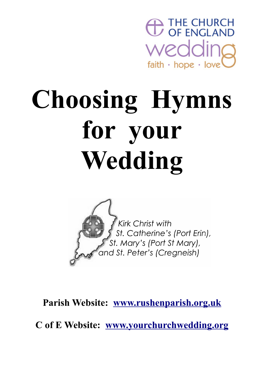$\supset$  THE CHURCH<br> $\supset$  OF FNGLAND wedc faith  $\cdot$  hope  $\cdot$  love

# **Choosing Hymns for your Wedding**



**Parish Website: [www.rushenparish.org.uk](http://www.rushenparish.org.uk/)**

**C of E Website: [www.yourchurchwedding.org](http://www.yourchurchwedding.org/)**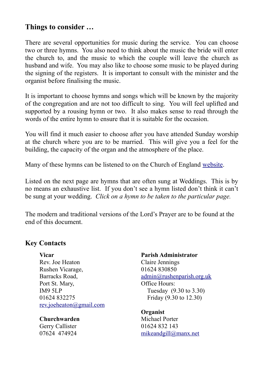#### **Things to consider …**

There are several opportunities for music during the service. You can choose two or three hymns. You also need to think about the music the bride will enter the church to, and the music to which the couple will leave the church as husband and wife. You may also like to choose some music to be played during the signing of the registers. It is important to consult with the minister and the organist before finalising the music.

It is important to choose hymns and songs which will be known by the majority of the congregation and are not too difficult to sing. You will feel uplifted and supported by a rousing hymn or two. It also makes sense to read through the words of the entire hymn to ensure that it is suitable for the occasion.

You will find it much easier to choose after you have attended Sunday worship at the church where you are to be married. This will give you a feel for the building, the capacity of the organ and the atmosphere of the place.

Many of these hymns can be listened to on the Church of England [website.](http://www.yourchurchwedding.org/)

Listed on the next page are hymns that are often sung at Weddings. This is by no means an exhaustive list. If you don't see a hymn listed don't think it can't be sung at your wedding. *Click on a hymn to be taken to the particular page.*

The modern and traditional versions of the Lord's Prayer are to be found at the end of this document.

#### **Key Contacts**

**Vicar** Rev. Joe Heaton Rushen Vicarage, Barracks Road, Port St. Mary, IM9 5LP 01624 832275 [rev.joeheaton@gmail.com](mailto:rev.joeheaton@gmail.com)

#### **Churchwarden**

Gerry Callister 07624 474924

#### **Parish Administrator**

Claire Jennings 01624 830850 [admin@rushenparish.org.uk](mailto:admin@rushenparish.org.uk) Office Hours: Tuesday (9.30 to 3.30) Friday (9.30 to 12.30)

**Organist** Michael Porter 01624 832 143 [mikeandgill@manx.net](mailto:mikeandgill@manx.net)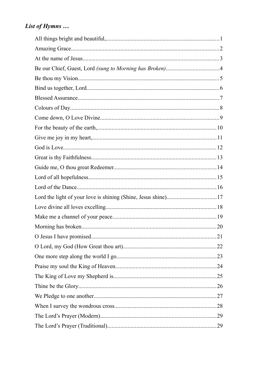# <span id="page-2-0"></span>List of Hymns ...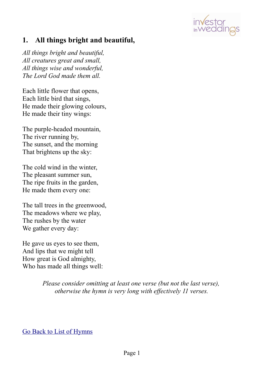

# <span id="page-3-0"></span>**1. All things bright and beautiful,**

*All things bright and beautiful, All creatures great and small, All things wise and wonderful, The Lord God made them all.*

Each little flower that opens, Each little bird that sings, He made their glowing colours, He made their tiny wings:

The purple-headed mountain, The river running by, The sunset, and the morning That brightens up the sky:

The cold wind in the winter, The pleasant summer sun, The ripe fruits in the garden, He made them every one:

The tall trees in the greenwood, The meadows where we play, The rushes by the water We gather every day:

He gave us eyes to see them, And lips that we might tell How great is God almighty, Who has made all things well:

> *Please consider omitting at least one verse (but not the last verse), otherwise the hymn is very long with effectively 11 verses.*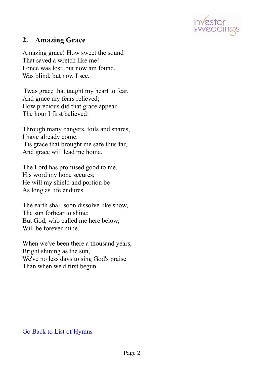

# <span id="page-4-0"></span>**2. Amazing Grace**

Amazing grace! How sweet the sound That saved a wretch like me! I once was lost, but now am found, Was blind, but now I see.

'Twas grace that taught my heart to fear, And grace my fears relieved; How precious did that grace appear The hour I first believed!

Through many dangers, toils and snares, I have already come; 'Tis grace that brought me safe thus far, And grace will lead me home.

The Lord has promised good to me, His word my hope secures; He will my shield and portion be As long as life endures.

The earth shall soon dissolve like snow, The sun forbear to shine; But God, who called me here below, Will be forever mine.

When we've been there a thousand years, Bright shining as the sun, We've no less days to sing God's praise Than when we'd first begun.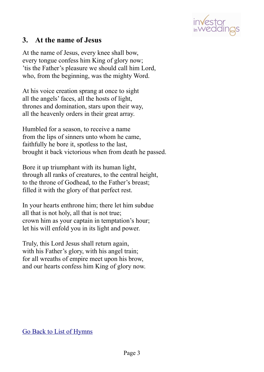

# <span id="page-5-0"></span>**3. At the name of Jesus**

At the name of Jesus, every knee shall bow, every tongue confess him King of glory now; 'tis the Father's pleasure we should call him Lord, who, from the beginning, was the mighty Word.

At his voice creation sprang at once to sight all the angels' faces, all the hosts of light, thrones and domination, stars upon their way, all the heavenly orders in their great array.

Humbled for a season, to receive a name from the lips of sinners unto whom he came, faithfully he bore it, spotless to the last, brought it back victorious when from death he passed.

Bore it up triumphant with its human light, through all ranks of creatures, to the central height, to the throne of Godhead, to the Father's breast; filled it with the glory of that perfect rest.

In your hearts enthrone him; there let him subdue all that is not holy, all that is not true; crown him as your captain in temptation's hour; let his will enfold you in its light and power.

Truly, this Lord Jesus shall return again, with his Father's glory, with his angel train; for all wreaths of empire meet upon his brow, and our hearts confess him King of glory now.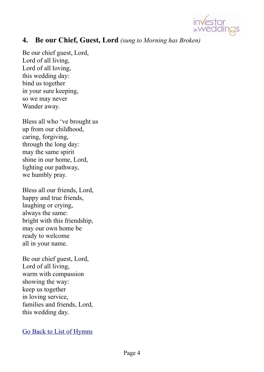

## <span id="page-6-0"></span>**4. Be our Chief, Guest, Lord** *(sung to Morning has Broken)*

Be our chief guest, Lord, Lord of all living, Lord of all loving, this wedding day: bind us together in your sure keeping, so we may never Wander away.

Bless all who 've brought us up from our childhood, caring, forgiving, through the long day: may the same spirit shine in our home, Lord, lighting our pathway, we humbly pray.

Bless all our friends, Lord, happy and true friends, laughing or crying, always the same: bright with this friendship, may our own home be ready to welcome all in your name.

Be our chief guest, Lord, Lord of all living, warm with compassion showing the way: keep us together in loving service, families and friends, Lord, this wedding day.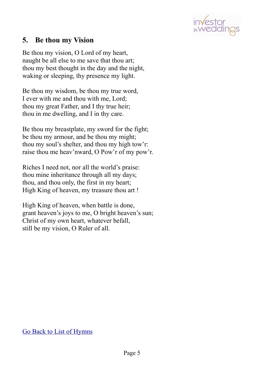

#### <span id="page-7-0"></span>**5. Be thou my Vision**

Be thou my vision, O Lord of my heart, naught be all else to me save that thou art; thou my best thought in the day and the night, waking or sleeping, thy presence my light.

Be thou my wisdom, be thou my true word, I ever with me and thou with me, Lord; thou my great Father, and I thy true heir; thou in me dwelling, and I in thy care.

Be thou my breastplate, my sword for the fight; be thou my armour, and be thou my might; thou my soul's shelter, and thou my high tow'r: raise thou me heav'nward, O Pow'r of my pow'r.

Riches I need not, nor all the world's praise: thou mine inheritance through all my days; thou, and thou only, the first in my heart; High King of heaven, my treasure thou art !

High King of heaven, when battle is done, grant heaven's joys to me, O bright heaven's sun; Christ of my own heart, whatever befall, still be my vision, O Ruler of all.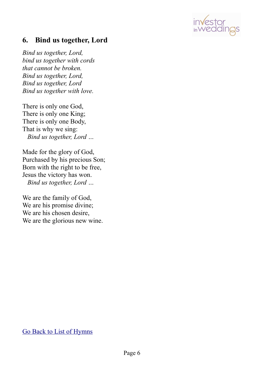

#### <span id="page-8-0"></span>**6. Bind us together, Lord**

*Bind us together, Lord, bind us together with cords that cannot be broken. Bind us together, Lord, Bind us together, Lord Bind us together with love.* 

There is only one God, There is only one King; There is only one Body, That is why we sing: *Bind us together, Lord …* 

Made for the glory of God, Purchased by his precious Son; Born with the right to be free, Jesus the victory has won. *Bind us together, Lord …* 

We are the family of God, We are his promise divine; We are his chosen desire, We are the glorious new wine.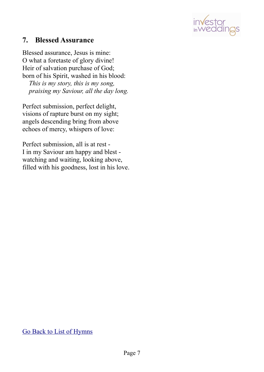

#### <span id="page-9-0"></span>**7. Blessed Assurance**

Blessed assurance, Jesus is mine: O what a foretaste of glory divine! Heir of salvation purchase of God; born of his Spirit, washed in his blood:  *This is my story, this is my song,*

 *praising my Saviour, all the day long.*

Perfect submission, perfect delight, visions of rapture burst on my sight; angels descending bring from above echoes of mercy, whispers of love:

Perfect submission, all is at rest - I in my Saviour am happy and blest watching and waiting, looking above, filled with his goodness, lost in his love.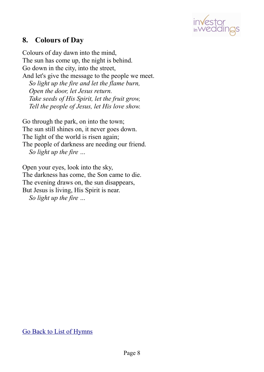

#### <span id="page-10-0"></span>**8. Colours of Day**

Colours of day dawn into the mind, The sun has come up, the night is behind. Go down in the city, into the street, And let's give the message to the people we meet. *So light up the fire and let the flame burn, Open the door, let Jesus return. Take seeds of His Spirit, let the fruit grow, Tell the people of Jesus, let His love show.*

Go through the park, on into the town; The sun still shines on, it never goes down. The light of the world is risen again; The people of darkness are needing our friend. *So light up the fire …* 

Open your eyes, look into the sky, The darkness has come, the Son came to die. The evening draws on, the sun disappears, But Jesus is living, His Spirit is near. *So light up the fire …*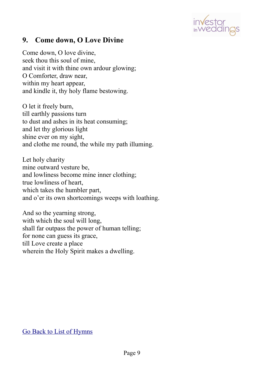

#### <span id="page-11-0"></span>**9. Come down, O Love Divine**

Come down, O love divine, seek thou this soul of mine, and visit it with thine own ardour glowing; O Comforter, draw near, within my heart appear, and kindle it, thy holy flame bestowing.

O let it freely burn, till earthly passions turn to dust and ashes in its heat consuming; and let thy glorious light shine ever on my sight, and clothe me round, the while my path illuming.

Let holy charity mine outward vesture be, and lowliness become mine inner clothing; true lowliness of heart, which takes the humbler part, and o'er its own shortcomings weeps with loathing.

And so the yearning strong, with which the soul will long, shall far outpass the power of human telling; for none can guess its grace, till Love create a place wherein the Holy Spirit makes a dwelling.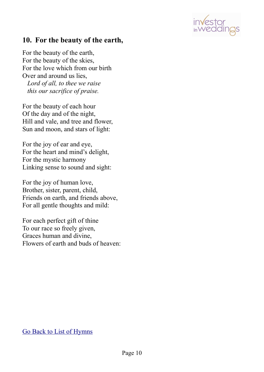

## <span id="page-12-0"></span>**10. For the beauty of the earth,**

For the beauty of the earth, For the beauty of the skies, For the love which from our birth Over and around us lies,  *Lord of all, to thee we raise this our sacrifice of praise.*

For the beauty of each hour Of the day and of the night, Hill and vale, and tree and flower, Sun and moon, and stars of light:

For the joy of ear and eye, For the heart and mind's delight, For the mystic harmony Linking sense to sound and sight:

For the joy of human love, Brother, sister, parent, child, Friends on earth, and friends above, For all gentle thoughts and mild:

For each perfect gift of thine To our race so freely given, Graces human and divine, Flowers of earth and buds of heaven: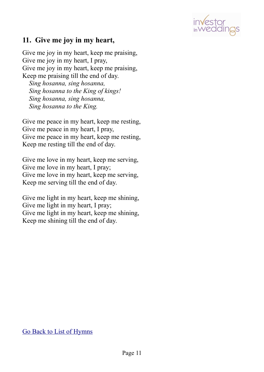

## <span id="page-13-0"></span>**11. Give me joy in my heart,**

Give me joy in my heart, keep me praising, Give me joy in my heart, I pray, Give me joy in my heart, keep me praising, Keep me praising till the end of day.

 *Sing hosanna, sing hosanna, Sing hosanna to the King of kings! Sing hosanna, sing hosanna, Sing hosanna to the King.*

Give me peace in my heart, keep me resting, Give me peace in my heart, I pray, Give me peace in my heart, keep me resting, Keep me resting till the end of day.

Give me love in my heart, keep me serving, Give me love in my heart, I pray; Give me love in my heart, keep me serving, Keep me serving till the end of day.

Give me light in my heart, keep me shining, Give me light in my heart, I pray; Give me light in my heart, keep me shining, Keep me shining till the end of day.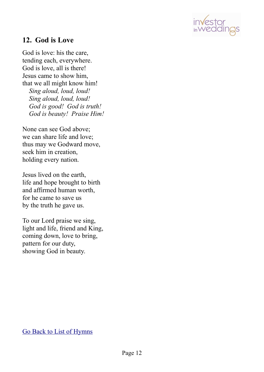

### <span id="page-14-0"></span>**12. God is Love**

God is love: his the care, tending each, everywhere. God is love, all is there! Jesus came to show him, that we all might know him! *Sing aloud, loud, loud! Sing aloud, loud, loud! God is good! God is truth! God is beauty! Praise Him!*

None can see God above; we can share life and love; thus may we Godward move, seek him in creation, holding every nation.

Jesus lived on the earth, life and hope brought to birth and affirmed human worth, for he came to save us by the truth he gave us.

To our Lord praise we sing, light and life, friend and King, coming down, love to bring, pattern for our duty, showing God in beauty.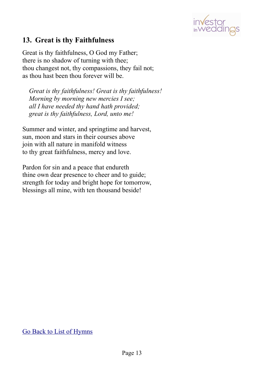

# <span id="page-15-0"></span>**13. Great is thy Faithfulness**

Great is thy faithfulness, O God my Father; there is no shadow of turning with thee; thou changest not, thy compassions, they fail not; as thou hast been thou forever will be.

 *Great is thy faithfulness! Great is thy faithfulness! Morning by morning new mercies I see; all I have needed thy hand hath provided; great is thy faithfulness, Lord, unto me!*

Summer and winter, and springtime and harvest, sun, moon and stars in their courses above join with all nature in manifold witness to thy great faithfulness, mercy and love.

Pardon for sin and a peace that endureth thine own dear presence to cheer and to guide; strength for today and bright hope for tomorrow, blessings all mine, with ten thousand beside!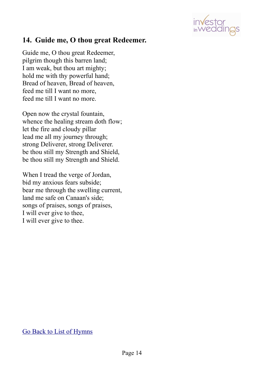

# <span id="page-16-0"></span>**14. Guide me, O thou great Redeemer.**

Guide me, O thou great Redeemer, pilgrim though this barren land; I am weak, but thou art mighty; hold me with thy powerful hand; Bread of heaven, Bread of heaven, feed me till I want no more, feed me till I want no more.

Open now the crystal fountain, whence the healing stream doth flow; let the fire and cloudy pillar lead me all my journey through; strong Deliverer, strong Deliverer. be thou still my Strength and Shield, be thou still my Strength and Shield.

When I tread the verge of Jordan, bid my anxious fears subside; bear me through the swelling current, land me safe on Canaan's side; songs of praises, songs of praises, I will ever give to thee, I will ever give to thee.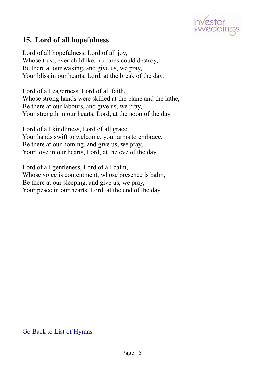

# <span id="page-17-0"></span>**15. Lord of all hopefulness**

Lord of all hopefulness, Lord of all joy, Whose trust, ever childlike, no cares could destroy, Be there at our waking, and give us, we pray, Your bliss in our hearts, Lord, at the break of the day.

Lord of all eagerness, Lord of all faith, Whose strong hands were skilled at the plane and the lathe, Be there at our labours, and give us, we pray, Your strength in our hearts, Lord, at the noon of the day.

Lord of all kindliness, Lord of all grace, Your hands swift to welcome, your arms to embrace, Be there at our homing, and give us, we pray, Your love in our hearts, Lord, at the eve of the day.

Lord of all gentleness, Lord of all calm, Whose voice is contentment, whose presence is balm, Be there at our sleeping, and give us, we pray, Your peace in our hearts, Lord, at the end of the day.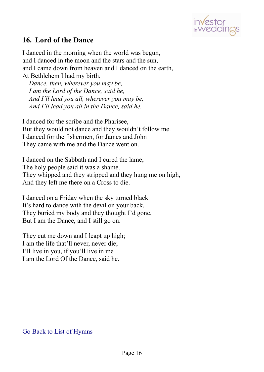

# <span id="page-18-0"></span>**16. Lord of the Dance**

I danced in the morning when the world was begun, and I danced in the moon and the stars and the sun, and I came down from heaven and I danced on the earth, At Bethlehem I had my birth.

 *Dance, then, wherever you may be, I am the Lord of the Dance, said he, And I'll lead you all, wherever you may be, And I'll lead you all in the Dance, said he.*

I danced for the scribe and the Pharisee, But they would not dance and they wouldn't follow me. I danced for the fishermen, for James and John They came with me and the Dance went on.

I danced on the Sabbath and I cured the lame; The holy people said it was a shame. They whipped and they stripped and they hung me on high, And they left me there on a Cross to die.

I danced on a Friday when the sky turned black It's hard to dance with the devil on your back. They buried my body and they thought I'd gone, But I am the Dance, and I still go on.

They cut me down and I leapt up high; I am the life that'll never, never die; I'll live in you, if you'll live in me I am the Lord Of the Dance, said he.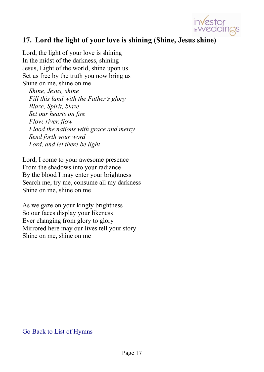

# <span id="page-19-0"></span>**17. Lord the light of your love is shining (Shine, Jesus shine)**

Lord, the light of your love is shining In the midst of the darkness, shining Jesus, Light of the world, shine upon us Set us free by the truth you now bring us Shine on me, shine on me

 *Shine, Jesus, shine Fill this land with the Father's glory Blaze, Spirit, blaze Set our hearts on fire Flow, river, flow Flood the nations with grace and mercy Send forth your word Lord, and let there be light*

Lord, I come to your awesome presence From the shadows into your radiance By the blood I may enter your brightness Search me, try me, consume all my darkness Shine on me, shine on me

As we gaze on your kingly brightness So our faces display your likeness Ever changing from glory to glory Mirrored here may our lives tell your story Shine on me, shine on me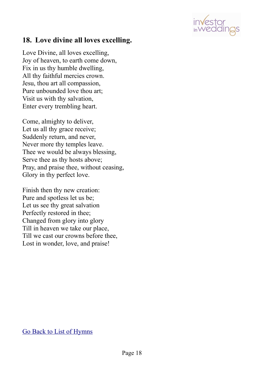

## <span id="page-20-0"></span>**18. Love divine all loves excelling.**

Love Divine, all loves excelling, Joy of heaven, to earth come down, Fix in us thy humble dwelling, All thy faithful mercies crown. Jesu, thou art all compassion, Pure unbounded love thou art; Visit us with thy salvation, Enter every trembling heart.

Come, almighty to deliver, Let us all thy grace receive; Suddenly return, and never, Never more thy temples leave. Thee we would be always blessing, Serve thee as thy hosts above; Pray, and praise thee, without ceasing, Glory in thy perfect love.

Finish then thy new creation: Pure and spotless let us be; Let us see thy great salvation Perfectly restored in thee; Changed from glory into glory Till in heaven we take our place, Till we cast our crowns before thee, Lost in wonder, love, and praise!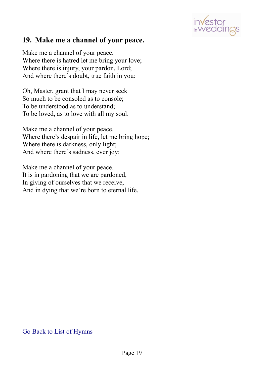

# <span id="page-21-0"></span>**19. Make me a channel of your peace.**

Make me a channel of your peace. Where there is hatred let me bring your love; Where there is injury, your pardon, Lord; And where there's doubt, true faith in you:

Oh, Master, grant that I may never seek So much to be consoled as to console; To be understood as to understand; To be loved, as to love with all my soul.

Make me a channel of your peace. Where there's despair in life, let me bring hope; Where there is darkness, only light; And where there's sadness, ever joy:

Make me a channel of your peace. It is in pardoning that we are pardoned, In giving of ourselves that we receive, And in dying that we're born to eternal life.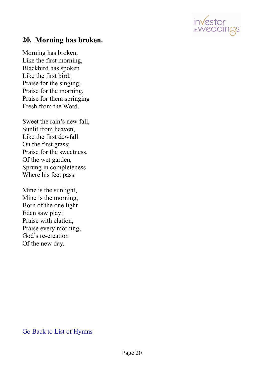

#### <span id="page-22-0"></span>**20. Morning has broken.**

Morning has broken, Like the first morning, Blackbird has spoken Like the first bird; Praise for the singing, Praise for the morning, Praise for them springing Fresh from the Word.

Sweet the rain's new fall, Sunlit from heaven, Like the first dewfall On the first grass; Praise for the sweetness, Of the wet garden, Sprung in completeness Where his feet pass.

Mine is the sunlight, Mine is the morning, Born of the one light Eden saw play; Praise with elation, Praise every morning, God's re-creation Of the new day.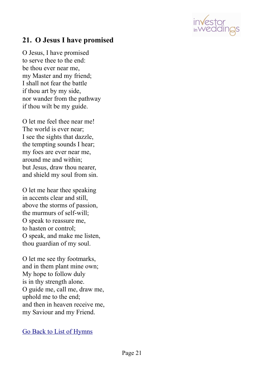

# <span id="page-23-0"></span>**21. O Jesus I have promised**

O Jesus, I have promised to serve thee to the end: be thou ever near me, my Master and my friend; I shall not fear the battle if thou art by my side, nor wander from the pathway if thou wilt be my guide.

O let me feel thee near me! The world is ever near; I see the sights that dazzle, the tempting sounds I hear; my foes are ever near me, around me and within; but Jesus, draw thou nearer, and shield my soul from sin.

O let me hear thee speaking in accents clear and still, above the storms of passion, the murmurs of self-will; O speak to reassure me, to hasten or control; O speak, and make me listen, thou guardian of my soul.

O let me see thy footmarks, and in them plant mine own; My hope to follow duly is in thy strength alone. O guide me, call me, draw me, uphold me to the end; and then in heaven receive me, my Saviour and my Friend.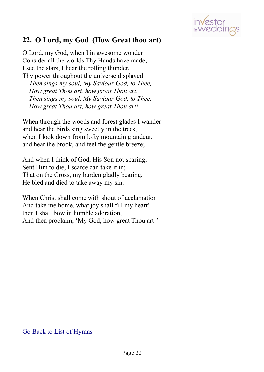# <span id="page-24-0"></span>**22. O Lord, my God (How Great thou art)**

O Lord, my God, when I in awesome wonder Consider all the worlds Thy Hands have made; I see the stars, I hear the rolling thunder, Thy power throughout the universe displayed

 *Then sings my soul, My Saviour God, to Thee, How great Thou art, how great Thou art. Then sings my soul, My Saviour God, to Thee, How great Thou art, how great Thou art!*

When through the woods and forest glades I wander and hear the birds sing sweetly in the trees; when I look down from lofty mountain grandeur, and hear the brook, and feel the gentle breeze;

And when I think of God, His Son not sparing; Sent Him to die, I scarce can take it in; That on the Cross, my burden gladly bearing, He bled and died to take away my sin.

When Christ shall come with shout of acclamation And take me home, what joy shall fill my heart! then I shall bow in humble adoration, And then proclaim, 'My God, how great Thou art!'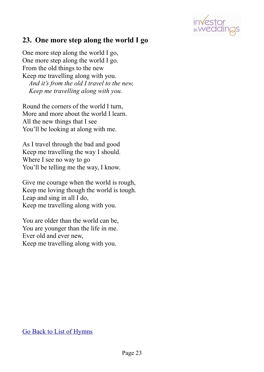

# <span id="page-25-0"></span>**23. One more step along the world I go**

One more step along the world I go, One more step along the world I go. From the old things to the new Keep me travelling along with you.  *And it's from the old I travel to the new, Keep me travelling along with you.*

Round the corners of the world I turn, More and more about the world I learn. All the new things that I see You'll be looking at along with me.

As I travel through the bad and good Keep me travelling the way I should. Where I see no way to go You'll be telling me the way, I know.

Give me courage when the world is rough, Keep me loving though the world is tough. Leap and sing in all I do, Keep me travelling along with you.

You are older than the world can be, You are younger than the life in me. Ever old and ever new, Keep me travelling along with you.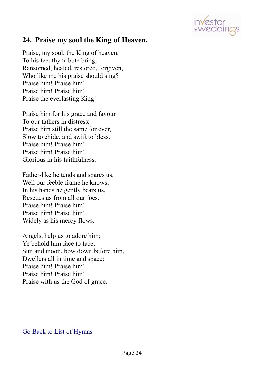

## <span id="page-26-0"></span>**24. Praise my soul the King of Heaven.**

Praise, my soul, the King of heaven, To his feet thy tribute bring; Ransomed, healed, restored, forgiven, Who like me his praise should sing? Praise him! Praise him! Praise him! Praise him! Praise the everlasting King!

Praise him for his grace and favour To our fathers in distress; Praise him still the same for ever, Slow to chide, and swift to bless. Praise him! Praise him! Praise him! Praise him! Glorious in his faithfulness.

Father-like he tends and spares us; Well our feeble frame he knows; In his hands he gently bears us, Rescues us from all our foes. Praise him! Praise him! Praise him! Praise him! Widely as his mercy flows.

Angels, help us to adore him; Ye behold him face to face; Sun and moon, bow down before him, Dwellers all in time and space: Praise him! Praise him! Praise him! Praise him! Praise with us the God of grace.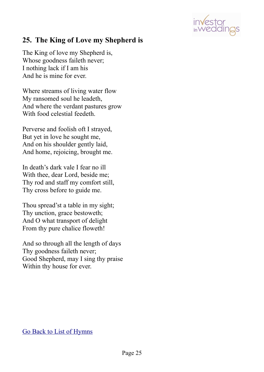

# <span id="page-27-0"></span>**25. The King of Love my Shepherd is**

The King of love my Shepherd is, Whose goodness faileth never; I nothing lack if I am his And he is mine for ever.

Where streams of living water flow My ransomed soul he leadeth, And where the verdant pastures grow With food celestial feedeth.

Perverse and foolish oft I strayed, But yet in love he sought me, And on his shoulder gently laid, And home, rejoicing, brought me.

In death's dark vale I fear no ill With thee, dear Lord, beside me; Thy rod and staff my comfort still, Thy cross before to guide me.

Thou spread'st a table in my sight; Thy unction, grace bestoweth; And O what transport of delight From thy pure chalice floweth!

And so through all the length of days Thy goodness faileth never; Good Shepherd, may I sing thy praise Within thy house for ever.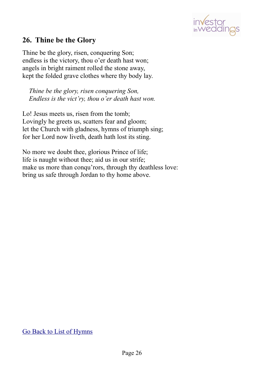

## <span id="page-28-0"></span>**26. Thine be the Glory**

Thine be the glory, risen, conquering Son; endless is the victory, thou o'er death hast won; angels in bright raiment rolled the stone away, kept the folded grave clothes where thy body lay.

 *Thine be the glory, risen conquering Son, Endless is the vict'ry, thou o'er death hast won.*

Lo! Jesus meets us, risen from the tomb; Lovingly he greets us, scatters fear and gloom; let the Church with gladness, hymns of triumph sing; for her Lord now liveth, death hath lost its sting.

No more we doubt thee, glorious Prince of life; life is naught without thee; aid us in our strife; make us more than conqu'rors, through thy deathless love: bring us safe through Jordan to thy home above.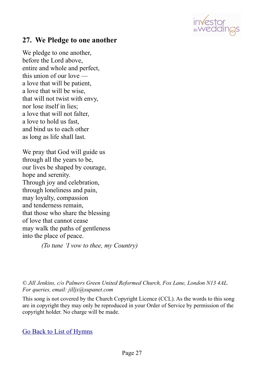

#### <span id="page-29-0"></span>**27. We Pledge to one another**

We pledge to one another, before the Lord above, entire and whole and perfect, this union of our love a love that will be patient, a love that will be wise, that will not twist with envy, nor lose itself in lies; a love that will not falter, a love to hold us fast, and bind us to each other as long as life shall last.

We pray that God will guide us through all the years to be, our lives be shaped by courage, hope and serenity. Through joy and celebration, through loneliness and pain, may loyalty, compassion and tenderness remain, that those who share the blessing of love that cannot cease may walk the paths of gentleness into the place of peace.

*(To tune 'I vow to thee, my Country)*

*© Jill Jenkins, c/o Palmers Green United Reformed Church, Fox Lane, London N13 4AL. For queries, email: jilljx@supanet.com*

This song is not covered by the Church Copyright Licence (CCL). As the words to this song are in copyright they may only be reproduced in your Order of Service by permission of the copyright holder. No charge will be made.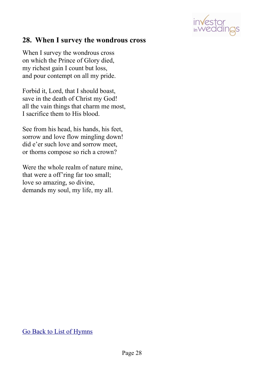

# <span id="page-30-0"></span>**28. When I survey the wondrous cross**

When I survey the wondrous cross on which the Prince of Glory died, my richest gain I count but loss, and pour contempt on all my pride.

Forbid it, Lord, that I should boast, save in the death of Christ my God! all the vain things that charm me most, I sacrifice them to His blood.

See from his head, his hands, his feet, sorrow and love flow mingling down! did e'er such love and sorrow meet, or thorns compose so rich a crown?

Were the whole realm of nature mine, that were a off'ring far too small; love so amazing, so divine, demands my soul, my life, my all.